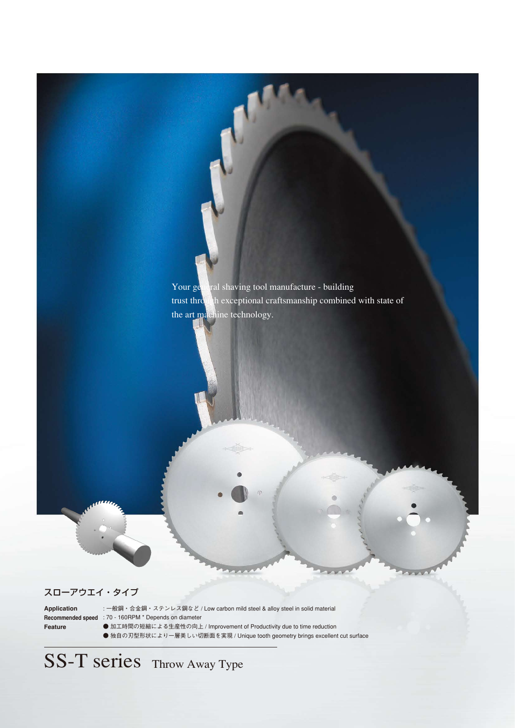

## スローアウエイ・タイプ

**Application Feature**

: 一般鋼・合金鋼・ステンレス鋼など / Low carbon mild steel & alloy steel in solid material **Recommended speed** : 70 - 160RPM \* Depends on diameter ● 加工時間の短縮による生産性の向上 / Improvement of Productivity due to time reduction

● 独自の刃型形状により一層美しい切断面を実現 / Unique tooth geometry brings excellent cut surface

SS-T series Throw Away Type